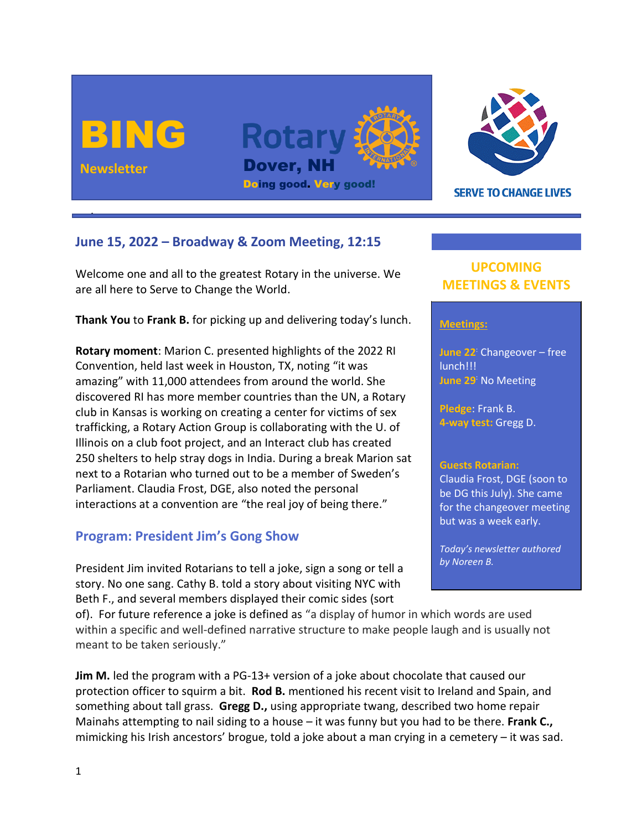



**SERVE TO CHANGE LIVES** 

# **June 15, 2022 – Broadway & Zoom Meeting, 12:15**

Welcome one and all to the greatest Rotary in the universe. We are all here to Serve to Change the World.

**Thank You** to **Frank B.** for picking up and delivering today's lunch.

**Rotary moment**: Marion C. presented highlights of the 2022 RI Convention, held last week in Houston, TX, noting "it was amazing" with 11,000 attendees from around the world. She discovered RI has more member countries than the UN, a Rotary club in Kansas is working on creating a center for victims of sex trafficking, a Rotary Action Group is collaborating with the U. of Illinois on a club foot project, and an Interact club has created 250 shelters to help stray dogs in India. During a break Marion sat next to a Rotarian who turned out to be a member of Sweden's Parliament. Claudia Frost, DGE, also noted the personal interactions at a convention are "the real joy of being there."

# **Program: President Jim's Gong Show**

President Jim invited Rotarians to tell a joke, sign a song or tell a story. No one sang. Cathy B. told a story about visiting NYC with Beth F., and several members displayed their comic sides (sort

of). For future reference a joke is defined as "a display of humor in which words are used within a specific and well-defined narrative structure to make people laugh and is usually not meant to be taken seriously."

**Jim M.** led the program with a PG-13+ version of a joke about chocolate that caused our protection officer to squirm a bit. **Rod B.** mentioned his recent visit to Ireland and Spain, and something about tall grass. **Gregg D.,** using appropriate twang, described two home repair Mainahs attempting to nail siding to a house – it was funny but you had to be there. **Frank C.,** mimicking his Irish ancestors' brogue, told a joke about a man crying in a cemetery – it was sad.

# **UPCOMING MEETINGS & EVENTS**

### **Meetings:**

**June 22**: Changeover – free lunch!!! **June 29**: No Meeting

**Pledge**: Frank B. **4-way test:** Gregg D.

#### **Guests Rotarian:**

Claudia Frost, DGE (soon to be DG this July). She came for the changeover meeting but was a week early.

*Today's newsletter authored by Noreen B.*